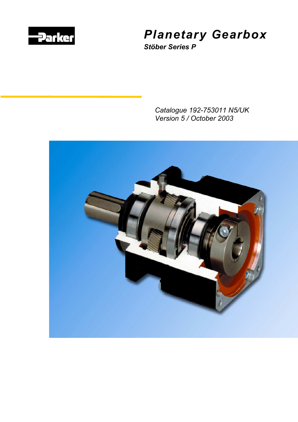

*Planetary Gearbox*

*Stˆber Series P*

*Catalogue 192-753011 N5/UK Version 5 / October 2003*

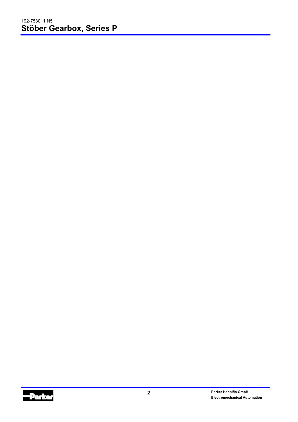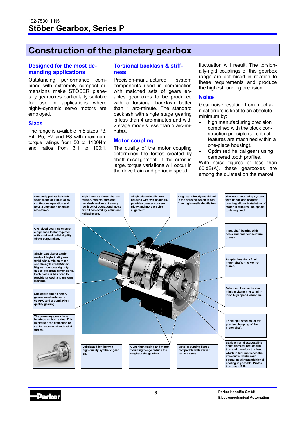## **Construction of the planetary gearbox**

#### **Designed for the most demanding applications**

Outstanding performance combined with extremely compact dimensions make STÖBER planetary gearboxes particularly suitable for use in applications where highly-dynamic servo motors are employed.

#### **Sizes**

The range is available in 5 sizes P3, P4, P5, P7 and P8 with maximum torque ratings from 50 to 1100Nm and ratios from 3:1 to 100:1.

#### **Torsional backlash & stiffness**

Precision-manufactured system components used in combination with matched sets of gears enables gearboxes to be produced with a torsional backlash better than 1 arc-minute. The standard backlash with single stage gearing is less than 4 arc-minutes and with 2 stage models less than 5 arc-minutes.

#### **Motor coupling**

The quality of the motor coupling determines the forces created by shaft misalignment. If the error is large, torque variations will occur in the drive train and periodic speed

fluctuation will result. The torsionally-rigid couplings of this gearbox range are optimised in relation to these requirements and produce the highest running precision.

#### **Noise**

Gear noise resulting from mechanical errors is kept to an absolute minimum by:

- high manufacturing precision combined with the block construction principle (all critical features are machined within a one-piece housing).
- Optimised helical gears using cambered tooth profiles.

With noise figures of less than 60 dB(A), these gearboxes are among the quietest on the market.

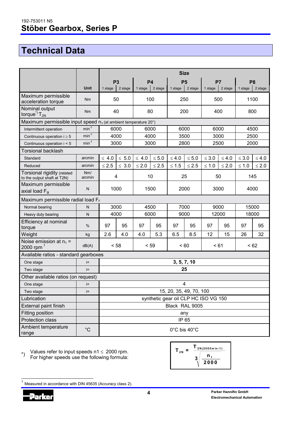## **Technical Data**

|                                                                             |                |                         |                |            |            | <b>Size</b>    |            |                                      |            |                |            |
|-----------------------------------------------------------------------------|----------------|-------------------------|----------------|------------|------------|----------------|------------|--------------------------------------|------------|----------------|------------|
|                                                                             |                |                         | P <sub>3</sub> | <b>P4</b>  |            |                | <b>P5</b>  | <b>P7</b>                            |            | P <sub>8</sub> |            |
|                                                                             | Unit           | 1 stage                 | 2 stage        | 1 stage    | 2 stage    | 1 stage        | 2 stage    | 1 stage                              | 2 stage    | 1 stage        | 2 stage    |
| Maximum permissible<br>acceleration torque                                  | Nm             |                         | 50             | 100        |            |                | 250        | 500                                  |            |                | 1100       |
| Nominal output<br>torque <sup><math>\check{\ }</math></sup> T <sub>2N</sub> | <b>Nm</b>      |                         | 40             | 80         |            |                | 200        | 400                                  |            |                | 800        |
| Maximum permissible input speed $n_1$ (at ambient temperature 20°)          |                |                         |                |            |            |                |            |                                      |            |                |            |
| Intermittent operation                                                      | $min-1$        | 6000                    |                | 6000       |            |                | 6000       | 6000                                 |            |                | 4500       |
| Continuous operation $i \geq 5$                                             | $min-1$        | 4000                    |                | 4000       |            |                | 3500       | 3000                                 |            | 2500           |            |
| Continuous operation i < 5                                                  | $min-1$        |                         | 3000           | 3000       |            |                | 2800       | 2500                                 |            |                | 2000       |
| <b>Torsional backlash</b>                                                   |                |                         |                |            |            |                |            |                                      |            |                |            |
| Standard                                                                    | arcmin         | $\leq 4.0$              | $\leq 5.0$     | $\leq 4.0$ | $\leq 5.0$ | $\leq 4.0$     | $\leq 5.0$ | $\leq 3.0$                           | $\leq 4.0$ | $\leq 3.0$     | $\leq 4.0$ |
| Reduced                                                                     | arcmin         | $\leq 2.5$              | $\leq 3.0$     | $\leq 2.0$ | $\leq 2.5$ | $\leq 1.5$     | $\leq 2.5$ | $\leq 1.0$                           | $\leq 2.0$ | $\leq 1.0$     | $\leq 2.0$ |
| <b>Torsional rigidity (related</b><br>to the output shaft at T2N)           | Nm/<br>arcmin  |                         | 4              |            | 10         |                | 25         | 50                                   |            |                | 145        |
| Maximum permissible<br>axial load $F_a$                                     | N              |                         | 1000           |            | 1500       |                | 2000       | 3000                                 |            | 4000           |            |
| Maximum permissible radial load F <sub>r</sub>                              |                |                         |                |            |            |                |            |                                      |            |                |            |
| Normal bearing                                                              | $\mathsf{N}$   | 3000                    |                | 4500       |            | 7000           |            | 9000                                 |            |                | 15000      |
| Heavy duty bearing                                                          | $\overline{N}$ | 4000                    |                | 6000       |            | 9000           |            | 12000                                |            |                | 18000      |
| Efficiency at nominal<br>torque                                             | %              | 97                      | 95             | 97         | 95         | 97             | 95         | 97                                   | 95         | 97             | 95         |
| Weight                                                                      | kg             | 2.6                     | 4.0            | 4.0        | 5.3        | 6.5            | 8.5        | 12                                   | 15         | 26             | 32         |
| Noise emission at $n_1$ =<br>2000 rpm <sup>1</sup>                          | dB(A)          |                         | < 58           | < 59       |            |                | ~< 60      | < 61                                 |            |                | < 62       |
| Available ratios - standard gearboxes                                       |                |                         |                |            |            |                |            |                                      |            |                |            |
| One stage                                                                   | j=             |                         |                |            |            | 3, 5, 7, 10    |            |                                      |            |                |            |
| Two stage                                                                   | j=             |                         |                |            |            | 25             |            |                                      |            |                |            |
| Other available ratios (on request)                                         |                |                         |                |            |            |                |            |                                      |            |                |            |
| One stage                                                                   | j=             | $\overline{4}$          |                |            |            |                |            |                                      |            |                |            |
| Two stage                                                                   | j=             | 15, 20, 35, 49, 70, 100 |                |            |            |                |            |                                      |            |                |            |
| Lubrication                                                                 |                |                         |                |            |            |                |            | synthetic gear oil CLP HC ISO VG 150 |            |                |            |
| External paint finish                                                       |                |                         |                |            |            | Black RAL 9005 |            |                                      |            |                |            |
| Fitting position                                                            |                |                         |                |            |            |                | any        |                                      |            |                |            |
| Protection class                                                            |                |                         |                |            |            |                | IP 65      |                                      |            |                |            |
| Ambient temperature<br>range                                                | $^{\circ}C$    | 0°C bis 40°C            |                |            |            |                |            |                                      |            |                |            |

\*) Values refer to input speeds  $n1 \le 2000$  rpm. For higher speeds use the following formula: **3**



 $\overline{1}$ Measured in accordance with DIN 45635 (Accuracy class 2).

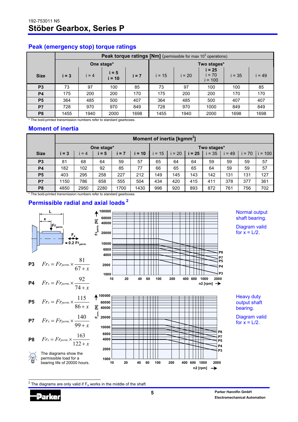#### **Peak (emergency stop) torque ratings**

|                |         |                                |            |         |          |        | <b>Peak torque ratings [Nm]</b> (permissible for max $103$ operations) |          |        |
|----------------|---------|--------------------------------|------------|---------|----------|--------|------------------------------------------------------------------------|----------|--------|
|                |         |                                | One stage* |         |          |        | Two stages*                                                            |          |        |
| <b>Size</b>    | $i = 3$ | $i = 5$<br>$i = 4$<br>$i = 10$ |            | $i = 7$ | $i = 15$ | i = 20 | $i = 25$<br>$i = 70$<br>$= 100$                                        | $i = 35$ | i = 49 |
| P <sub>3</sub> | 73      | 97                             | 100        | 85      | 73       | 97     | 100                                                                    | 100      | 85     |
| <b>P4</b>      | 175     | 200                            | 200        | 170     | 175      | 200    | 200                                                                    | 170      | 170    |
| <b>P5</b>      | 364     | 485                            | 500        | 407     | 364      | 485    | 500                                                                    | 407      | 407    |
| P <sub>7</sub> | 728     | 970                            | 970<br>849 |         | 728      | 970    | 1000                                                                   | 849      | 849    |
| P <sub>8</sub> | 1455    | 1940                           | 2000       | 1698    |          | 1940   | 2000                                                                   | 1698     | 1698   |

\* The bold-printed transmission numbers refer to standard gearboxes.

#### **Moment of inertia**

|                |       |       |            |         |        | Moment of inertia [kgmm <sup>2</sup> ] |        |          |             |          |          |           |
|----------------|-------|-------|------------|---------|--------|----------------------------------------|--------|----------|-------------|----------|----------|-----------|
|                |       |       | One stage* |         |        |                                        |        |          | Two stages* |          |          |           |
| <b>Size</b>    | i = 3 | $= 4$ | $= 5$      | $i = 7$ | $= 10$ | $i = 15$                               | $= 20$ | $i = 25$ | $i = 35$    | $i = 49$ | $i = 70$ | $i = 100$ |
| P <sub>3</sub> | 81    | 68    | 64         | 59      | 57     | 65                                     | 64     | 64       | 59          | 59       | 59       | 57        |
| <b>P4</b>      | 182   | 102   | 92         | 85      | 77     | 66                                     | 65     | 65       | 64          | 59       | 59       | 57        |
| P <sub>5</sub> | 403   | 295   | 258        | 227     | 212    | 149                                    | 145    | 143      | 142         | 131      | 131      | 127       |
| P <sub>7</sub> | 1150  | 786   | 658        | 555     | 504    | 434                                    | 420    | 415      | 411         | 378      | 377      | 361       |
| P <sub>8</sub> | 4850  | 2950  | 2280       | 1700    | 1430   | 996                                    | 920    | 893      | 872         | 761      | 756      | 702       |

\* The bold-printed transmission numbers refer to standard gearboxes.

### **Permissible radial and axial loads<sup>2</sup>**



Normal output shaft bearing.

Diagram valid for  $x = L/2$ .

Heavy duty output shaft bearing.

Diagram valid for  $x = L/2$ .

 $^2$  The diagrams are only valid if  $\overline{\mathsf{F}_{\mathsf{a}}}$  works in the middle of the shaft

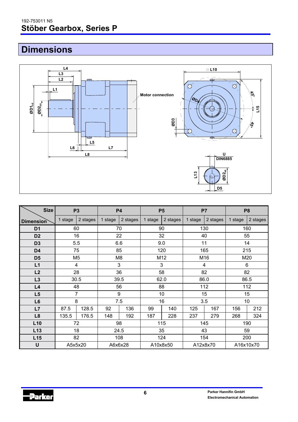## **Dimensions**



| <b>Size</b>      |         | P <sub>3</sub> | <b>P4</b>      |          |          | <b>P5</b> | <b>P7</b> |          | P <sub>8</sub> |          |  |
|------------------|---------|----------------|----------------|----------|----------|-----------|-----------|----------|----------------|----------|--|
| <b>Dimension</b> | 1 stage | 2 stages       | 1 stage        | 2 stages | 1 stage  | 2 stages  | 1 stage   | 2 stages | 1 stage        | 2 stages |  |
| D <sub>1</sub>   |         | 60             |                | 70       |          | 90        | 130       |          | 160            |          |  |
| D <sub>2</sub>   |         | 16             |                | 22       |          | 32        | 40        |          | 55             |          |  |
| D <sub>3</sub>   |         | 5.5            |                | 6.6      | 9.0      |           | 11        |          |                | 14       |  |
| D <sub>4</sub>   |         | 75             | 85             |          |          | 120       |           | 165      | 215            |          |  |
| D <sub>5</sub>   |         | M <sub>5</sub> | M <sub>8</sub> |          |          | M12       | M16       |          | M20            |          |  |
| L1               |         | 4              | 3              |          |          | 3         | 4         |          | 6              |          |  |
| L2               |         | 28             | 36             |          |          | 58        | 82        |          | 82             |          |  |
| L3               |         | 30.5           | 39.5           |          |          | 62.0      | 86.0      |          | 86.5           |          |  |
| L4               |         | 48             | 56             |          |          | 88        | 112       |          | 112            |          |  |
| L5               |         | 7              | 9              |          |          | 10        |           | 15       | 15             |          |  |
| L <sub>6</sub>   |         | 8              |                | 7.5      |          | 16        | 3.5       |          | 10             |          |  |
| L7               | 87.5    | 128.5          | 92             | 136      | 99       | 140       | 125       | 167      | 156            | 212      |  |
| L8               | 135.5   | 176.5          | 148            | 192      | 187      | 228       | 237       | 279      | 268            | 324      |  |
| L10              |         | 72             | 98             |          |          | 115       | 145       |          | 190            |          |  |
| L13              |         | 18             | 24.5           |          |          | 35        | 43        |          | 59             |          |  |
| L15              |         | 82             |                | 108      |          | 124       | 154       |          | 200            |          |  |
| U                |         | A5x5x20        | A6x6x28        |          | A10x8x50 |           | A12x8x70  |          | A16x10x70      |          |  |

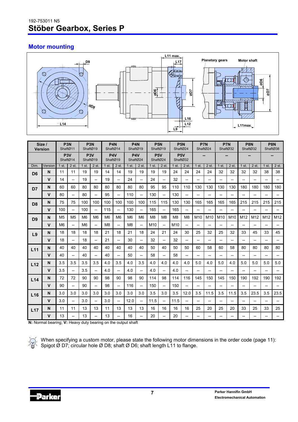### **Motor mounting**



|                 | Size /<br><b>Version</b> | ShaftØ11       | P <sub>3</sub> N         |                | P <sub>3</sub> N<br>ShaftØ19       | P <sub>4</sub> N<br>ShaftØ14 |                          | P <sub>4</sub> N             | ShaftØ19                              | P <sub>5N</sub><br>ShaftØ19  |                          |                | P <sub>5</sub> N<br>ShaftØ24 |                          | P7N<br>ShaftØ24          |                          | P7N<br>ShaftØ32          |                          | P8N<br>ShaftØ32          |                                       | P8N<br>ShaftØ38          |
|-----------------|--------------------------|----------------|--------------------------|----------------|------------------------------------|------------------------------|--------------------------|------------------------------|---------------------------------------|------------------------------|--------------------------|----------------|------------------------------|--------------------------|--------------------------|--------------------------|--------------------------|--------------------------|--------------------------|---------------------------------------|--------------------------|
|                 |                          | ShaftØ14       | P <sub>3</sub> V         |                | P <sub>3</sub> V<br>ShaftØ19       | P <sub>4</sub> V<br>ShaftØ19 |                          | P <sub>4</sub> V<br>ShaftØ24 |                                       | P <sub>5</sub> V<br>ShaftØ24 |                          |                | P <sub>5</sub> V<br>ShaftØ32 |                          | --                       |                          | --                       |                          | --                       |                                       | --                       |
| Dim.            | Version                  | $1$ st.        | 2 <sub>st</sub>          | $1$ st.        | 2 <sub>st</sub>                    | 1st                          | 2 st.                    | 1st.                         | 2st                                   | $1$ st.                      | 2 <sub>st</sub>          | 1st.           | 2 st.                        | 1st                      | 2st                      | 1st.                     | 2st.                     | 1st                      | 2st                      | 1st.                                  | 2 st.                    |
| D <sub>6</sub>  | N                        | 11             | 11                       | 19             | 19                                 | 14                           | 14                       | 19                           | 19                                    | 19                           | 19                       | 24             | 24                           | 24                       | 24                       | 32                       | 32                       | 32                       | 32                       | 38                                    | 38                       |
|                 | v                        | 14             | $\overline{\phantom{0}}$ | 19             | $\hspace{0.05cm} -\hspace{0.05cm}$ | 19                           | $\overline{\phantom{0}}$ | 24                           | $\overline{\phantom{0}}$              | 24                           | $\overline{\phantom{0}}$ | 32             | $\overline{\phantom{a}}$     | $\overline{a}$           | $\overline{\phantom{a}}$ | $\overline{\phantom{0}}$ | $\overline{\phantom{0}}$ | $\overline{a}$           | $\overline{\phantom{0}}$ | $\hspace{0.05cm}$ – $\hspace{0.05cm}$ | $\overline{\phantom{0}}$ |
| D7              | N                        | 60             | 60                       | 80             | 80                                 | 80                           | 80                       | 80                           | 80                                    | 95                           | 95                       | 110            | 110                          | 130                      | 130                      | 130                      | 130                      | 180                      | 180                      | 180                                   | 180                      |
|                 | v                        | 80             | $\overline{a}$           | 80             | $\hspace{0.05cm} -\hspace{0.05cm}$ | 95                           | $\overline{\phantom{a}}$ | 110                          | $\overline{\phantom{0}}$              | 130                          | $\overline{\phantom{a}}$ | 130            | $\overline{\phantom{a}}$     | $\overline{a}$           | $\overline{a}$           | $\overline{\phantom{a}}$ | $\overline{\phantom{0}}$ | $\overline{\phantom{a}}$ | --                       | $\overline{\phantom{a}}$              | $\overline{\phantom{a}}$ |
| D <sub>8</sub>  | N                        | 75             | 75                       | 100            | 100                                | 100                          | 100                      | 100                          | 100                                   | 115                          | 115                      | 130            | 130                          | 165                      | 165                      | 165                      | 165                      | 215                      | 215                      | 215                                   | 215                      |
|                 | $\mathsf{v}$             | 100            | $\overline{a}$           | 100            | $\hspace{0.05cm} -\hspace{0.05cm}$ | 115                          | $\overline{\phantom{0}}$ | 130                          | $\overline{\phantom{0}}$              | 165                          | $-$                      | 165            | $\overline{a}$               | --                       | $\overline{\phantom{a}}$ | $\overline{\phantom{a}}$ | --                       | --                       | $\overline{a}$           |                                       | $-$                      |
| D <sub>9</sub>  | N                        | M <sub>5</sub> | M <sub>5</sub>           | M <sub>6</sub> | M <sub>6</sub>                     | M <sub>6</sub>               | M <sub>6</sub>           | M <sub>6</sub>               | M <sub>6</sub>                        | M <sub>8</sub>               | M <sub>8</sub>           | M <sub>8</sub> | M <sub>8</sub>               | M <sub>10</sub>          | M <sub>10</sub>          | M <sub>10</sub>          | M <sub>10</sub>          | M <sub>12</sub>          | M12                      | M <sub>12</sub>                       | M12                      |
|                 | $\mathsf{v}$             | M <sub>6</sub> | --                       | M <sub>6</sub> | $\hspace{0.05cm} -\hspace{0.05cm}$ | M <sub>8</sub>               | --                       | M <sub>8</sub>               | $\overline{\phantom{a}}$              | M <sub>10</sub>              | $\overline{\phantom{a}}$ | M10            | $\overline{\phantom{a}}$     | $\overline{a}$           | $\overline{\phantom{a}}$ | $\overline{\phantom{a}}$ | $-$                      | $\overline{\phantom{a}}$ | --                       | $-$                                   | $\overline{\phantom{0}}$ |
| L <sub>9</sub>  | N                        | 18             | 18                       | 18             | 18                                 | 21                           | 18                       | 21                           | 18                                    | 24                           | 21                       | 24             | 30                           | 25                       | 32                       | 25                       | 32                       | 33                       | 45                       | 33                                    | 45                       |
|                 | v                        | 18             | $\overline{a}$           | 18             | $\overline{\phantom{0}}$           | 21                           | $\overline{\phantom{0}}$ | 30                           | $\overline{\phantom{0}}$              | 32                           | $\overline{\phantom{0}}$ | 32             | $\overline{\phantom{0}}$     | $\overline{\phantom{0}}$ | $\overline{\phantom{a}}$ | $\overline{\phantom{0}}$ | $\overline{\phantom{0}}$ | $\overline{\phantom{0}}$ | $\overline{\phantom{0}}$ | $\hspace{0.05cm}$ – $\hspace{0.05cm}$ | $\overline{\phantom{0}}$ |
| L11             | N                        | 40             | 40                       | 40             | 40                                 | 40                           | 40                       | 40                           | 40                                    | 50                           | 40                       | 50             | 50                           | 60                       | 58                       | 60                       | 58                       | 80                       | 80                       | 80                                    | 80                       |
|                 | $\mathbf v$              | 40             | $\overline{a}$           | 40             | $\hspace{0.05cm} -\hspace{0.05cm}$ | 40                           | $\overline{\phantom{0}}$ | 50                           | $\overline{\phantom{0}}$              | 58                           | $\overline{\phantom{a}}$ | 58             | $\overline{\phantom{a}}$     | $\overline{a}$           | $\overline{\phantom{a}}$ | $\overline{a}$           | --                       | --                       | --                       | $\hspace{0.05cm}$ $\hspace{0.05cm}$   | $\overline{\phantom{0}}$ |
| L <sub>12</sub> | N                        | 3.5            | 3.5                      | 3.5            | 3.5                                | 4.0                          | 3.5                      | 4.0                          | 3.5                                   | 4.0                          | 4.0                      | 4.0            | 4.0                          | 5.0                      | 4.0                      | 5.0                      | 4.0                      | 5.0                      | 5.0                      | 5.0                                   | 5.0                      |
|                 | $\mathsf{v}$             | 3.5            | --                       | 3.5            | $\overline{\phantom{0}}$           | 4.0                          | $\overline{\phantom{a}}$ | 4.0                          | --                                    | 4.0                          | --                       | 4.0            | $\overline{\phantom{a}}$     | --                       | $\overline{\phantom{a}}$ | $\overline{a}$           | --                       | --                       | --                       |                                       | --                       |
| L14             | N                        | 72             | 72                       | 90             | 90                                 | 98                           | 90                       | 98                           | 90                                    | 114                          | 98                       | 114            | 116                          | 145                      | 150                      | 145                      | 150                      | 190                      | 192                      | 190                                   | 192                      |
|                 | v                        | 90             | $\overline{\phantom{0}}$ | 90             | $\overline{\phantom{a}}$           | 98                           | $\overline{\phantom{a}}$ | 116                          | $\overline{\phantom{0}}$              | 150                          | $- -$                    | 150            | $\overline{\phantom{a}}$     | $-$                      | $\overline{\phantom{a}}$ | $\overline{\phantom{a}}$ | $\overline{\phantom{0}}$ | $\overline{\phantom{a}}$ | --                       | $\hspace{0.05cm}$ – $\hspace{0.05cm}$ | $\overline{\phantom{0}}$ |
| L16             | N                        | 3.0            | 3.0                      | 3.0            | 3.0                                | 3.0                          | 3.0                      | 3.0                          | 3.0                                   | 3.5                          | 3.0                      | 3.5            | 12.0                         | 3.5                      | 11.5                     | 3.5                      | 11.5                     | 3.5                      | 23.5                     | 3.5                                   | 23.5                     |
|                 | v                        | 3.0            | $\overline{a}$           | 3.0            | $\overline{\phantom{0}}$           | 3.0                          | $\overline{\phantom{a}}$ | 12.0                         | $\hspace{0.05cm}$ – $\hspace{0.05cm}$ | 11.5                         | $\overline{\phantom{0}}$ | 11.5           | $\overline{\phantom{a}}$     | $\overline{a}$           | $\overline{\phantom{a}}$ | $\overline{\phantom{a}}$ | $-$                      | $\overline{\phantom{a}}$ | $\overline{\phantom{0}}$ | $\overline{\phantom{a}}$              | $- -$                    |
| L17             | N                        | 11             | 11                       | 13             | 13                                 | 11                           | 13                       | 13                           | 13                                    | 16                           | 16                       | 16             | 16                           | 25                       | 20                       | 25                       | 20                       | 33                       | 25                       | 33                                    | 25                       |
|                 | v                        | 13             | --                       | 13             | $\overline{\phantom{a}}$           | 13                           | $\overline{a}$           | 16                           | --                                    | 20                           | --                       | 20             | $\overline{\phantom{a}}$     | $\overline{a}$           | $-$                      | $\overline{\phantom{0}}$ | --                       | --                       | --                       |                                       | $\overline{\phantom{0}}$ |

**N:** Normal bearing; **V:** Heavy duty bearing on the output shaft



When specifying a custom motor, please state the following motor dimensions in the order code (page 11): Spigot Ø D7; circular hole Ø D8; shaft Ø D6; shaft length L11 to flange.

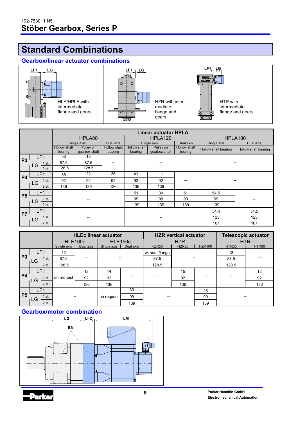## **Standard Combinations**

### **Gearbox/linear actuator combinations**









For HTR with intermediate flange and gears

|                |    |         |                         |                            |                         |                         | <b>Linear actuator HPLA</b> |                         |                                              |           |  |  |  |
|----------------|----|---------|-------------------------|----------------------------|-------------------------|-------------------------|-----------------------------|-------------------------|----------------------------------------------|-----------|--|--|--|
|                |    |         |                         | HPLA80                     |                         |                         | HPLA120                     |                         |                                              | HPLA180   |  |  |  |
|                |    |         |                         | Single axis                | Dual axis               |                         | Single axis                 | Dual axis               | Single axis                                  | Dual axis |  |  |  |
|                |    |         | Hollow shaft<br>bearing | Pulley on<br>gearbox shaft | Hollow shaft<br>bearing | Hollow shaft<br>bearing | Pulley on<br>gearbox shaft  | Hollow shaft<br>bearing | Hollow shaft bearing<br>Hollow shaft bearing |           |  |  |  |
| P <sub>3</sub> |    | LF1     | 36                      | 15                         |                         |                         |                             |                         |                                              |           |  |  |  |
|                | LG | 1 st.   | 87.5                    | 87.5                       |                         |                         |                             |                         | --                                           |           |  |  |  |
|                |    | 2 st.   | 128.5                   | 128.5                      |                         |                         |                             |                         |                                              |           |  |  |  |
| <b>P4</b>      |    | LF1     | 36                      | 23                         | 36                      | 41                      | 11                          |                         |                                              |           |  |  |  |
|                | LG | 1 st.   | 92                      | 92                         | 92                      | 92                      | 92                          |                         |                                              | --        |  |  |  |
|                |    | 2 st.   | 136                     | 136                        | 136                     | 136                     | 136                         |                         |                                              |           |  |  |  |
| <b>P5</b>      |    | LF1     |                         |                            |                         | 51                      | 30                          | 51                      | 54.5                                         |           |  |  |  |
|                | LG | $1$ st. |                         |                            |                         | 99                      | 99                          | 99                      | 99                                           | --        |  |  |  |
|                |    | 2 st.   |                         |                            |                         | 139                     | 139                         | 139                     | 139                                          |           |  |  |  |
| P <sub>7</sub> |    | LF1     |                         |                            |                         |                         |                             |                         | 54.4                                         | 54.5      |  |  |  |
|                | LG | $1$ st. |                         | --                         |                         |                         | --                          |                         | 125<br>125                                   |           |  |  |  |
|                |    | 2 st.   |                         |                            |                         |                         |                             |                         | 167<br>167                                   |           |  |  |  |

|    |     |         |                |           | <b>HLEc linear actuator</b> |           |                   | <b>HZR vertical actuator</b> |               | <b>Telescopic actuator</b> |       |  |  |
|----|-----|---------|----------------|-----------|-----------------------------|-----------|-------------------|------------------------------|---------------|----------------------------|-------|--|--|
|    |     |         | <b>HLE100c</b> |           | <b>HLE150c</b>              |           |                   | <b>HZR</b>                   |               | <b>HTR</b>                 |       |  |  |
|    |     |         | Single axis    | Dual axis | Single axis                 | Dual axis | HZR <sub>50</sub> | HZR80                        | <b>HZR100</b> | <b>HTR50</b>               | HTR80 |  |  |
|    |     | $-F1$   | 12             |           |                             |           | without flange    |                              |               | 13                         |       |  |  |
| P3 | LG  | $1$ st. | 87.5           |           |                             |           | 87.5              |                              |               | 87.5                       |       |  |  |
|    |     | 2 st.   | 128.5          |           |                             |           | 128.5             |                              |               | 128.5                      |       |  |  |
|    |     | LF1     |                | 12        | 14                          |           |                   | 15                           |               |                            | 12    |  |  |
| P4 | LG  | $1$ st. | on request     | 92        | 92                          |           | --                | 92                           |               |                            | 92    |  |  |
|    |     | 2 st.   |                | 136       | 136                         |           |                   | 136                          |               |                            | 136   |  |  |
|    | LF1 |         |                |           |                             | 30        |                   |                              | 25            |                            |       |  |  |
| P5 | LG  | $1$ st. | --             |           | on request                  | 99        |                   |                              | 99            | --                         |       |  |  |
|    |     | 2 st.   | 139            |           |                             |           |                   | 139                          |               |                            |       |  |  |

#### **Gearbox/motor combination**



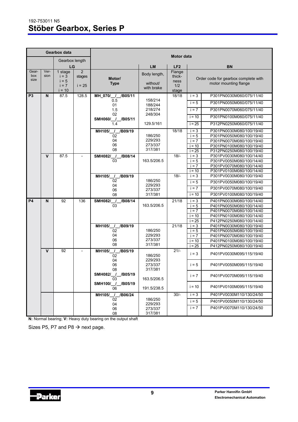|                      |              | <b>Gearbox data</b>           |                          |                                       |                          |                          |                      |                                                               |
|----------------------|--------------|-------------------------------|--------------------------|---------------------------------------|--------------------------|--------------------------|----------------------|---------------------------------------------------------------|
|                      |              | Gearbox length                |                          |                                       |                          | <b>Motor data</b>        |                      |                                                               |
|                      |              | LG                            |                          |                                       | <b>LM</b>                | LF <sub>2</sub>          |                      | <b>BN</b>                                                     |
| Gear-<br>box<br>size | Ver-<br>sion | 1 stage<br>$i = 3$<br>$i = 5$ | $\overline{2}$<br>stages | Motor/<br><b>Type</b>                 | Body length,<br>without/ | Flange<br>thick-<br>ness |                      | Order code for gearbox complete with<br>motor mounting flange |
|                      |              | $i = 7$<br>$i = 10$           | $i = 25$                 |                                       | with brake               | 1/2<br>stage             |                      |                                                               |
| P <sub>3</sub>       | N            | 87.5                          | 128.5                    | MH_070/<br>/B05/11<br>$\overline{1}$  |                          | 18/18                    | $i = 3$              | P301PN0030M060/075/11/40                                      |
|                      |              |                               |                          | 0.5<br>01                             | 158/214<br>188/244       |                          | $i = 5$              | P301PN0050M060/075/11/40                                      |
|                      |              |                               |                          | 1.5                                   | 218/274                  |                          | $i = 7$              | P301PN0070M060/075/11/40                                      |
|                      |              |                               |                          | 02<br>SMH060/ / /B05/11               | 248/304                  |                          | $i = 10$             | P301PN0100M060/075/11/40                                      |
|                      |              |                               |                          | 1.4                                   | 129.5/161                |                          | $i = 25$             | P312PN0250M060/075/11/40                                      |
|                      |              |                               |                          | MH105/ / /B09/19                      |                          | 18/18                    | $i = 3$              | P301PN0030M080/100/19/40                                      |
|                      |              |                               |                          | 02                                    | 186/250                  |                          | $i = 5$              | P301PN0050M080/100/19/40                                      |
|                      |              |                               |                          | 04<br>06                              | 229/293<br>273/337       |                          | $i = 7$              | P301PN0070M080/100/19/40                                      |
|                      |              |                               |                          | 08                                    | 317/381                  |                          | $i = 10$<br>$i = 25$ | P301PN0100M080/100/19/40<br>P312PN0250M080/100/19/40          |
|                      | v            | 87.5                          |                          | /B08/14<br><b>SMH082/</b>             |                          | $18/-$                   | $i = 3$              | P301PV0030M080/100/14/40                                      |
|                      |              |                               |                          | 03                                    | 163.5/206.5              |                          | $i = 5$              | P301PV0050M080/100/14/40                                      |
|                      |              |                               |                          |                                       |                          |                          | $i = 7$              | P301PV0070M080/100/14/40                                      |
|                      |              |                               |                          |                                       |                          |                          | $i = 10$             | P301PV0100M080/100/14/40                                      |
|                      |              |                               |                          | /B09/19<br>MH105/<br>$\prime$         |                          | $18/$ -                  | $i = 3$              | P301PV0030M080/100/19/40                                      |
|                      |              |                               |                          | 02                                    | 186/250                  |                          | $i = 5$              | P301PV0050M080/100/19/40                                      |
|                      |              |                               |                          | 04<br>06                              | 229/293<br>273/337       |                          | $i = 7$              | P301PV0070M080/100/19/40                                      |
|                      |              |                               |                          | 08                                    | 317/381                  |                          | $i = 10$             | P301PV0100M080/100/19/40                                      |
| <b>P4</b>            | N            | 92                            | 136                      | <b>SMH082/</b><br>/B08/14<br>$\prime$ |                          | 21/18                    | $i = 3$              | P401PN0030M080/100/14/40                                      |
|                      |              |                               |                          | 03                                    | 163.5/206.5              |                          | $i = 5$              | P401PN0050M080/100/14/40                                      |
|                      |              |                               |                          |                                       |                          |                          | $i = 7$              | P401PN0070M080/100/14/40                                      |
|                      |              |                               |                          |                                       |                          |                          | $i = 10$             | P401PN0100M080/100/14/40                                      |
|                      |              |                               |                          |                                       |                          |                          | $i = 25$             | P412PN0250M080/100/14/40                                      |
|                      |              |                               |                          | MH105/ / /B09/19                      |                          | 21/18                    | $i = 3$              | P401PN0030M080/100/19/40                                      |
|                      |              |                               |                          | 02                                    | 186/250                  |                          | $i = 5$              | P401PN0050M080/100/19/40                                      |
|                      |              |                               |                          | 04<br>06                              | 229/293<br>273/337       |                          | $i = 7$              | P401PN0070M080/100/19/40                                      |
|                      |              |                               |                          | 08                                    | 317/381                  |                          | $i = 10$             | P401PN0100M080/100/19/40                                      |
|                      | $\mathbf{v}$ | 92                            | $\overline{\phantom{a}}$ | /B05/19<br>MH105/<br>$\prime$         |                          | $21/-$                   | $i = 25$<br>$i = 3$  | P412PN0250M080/100/19/40<br>P401PV0030M095/115/19/40          |
|                      |              |                               |                          | 02<br>04                              | 186/250<br>229/293       |                          |                      |                                                               |
|                      |              |                               |                          | 06<br>08                              | 273/337<br>317/381       |                          | $i = 5$              | P401PV0050M095/115/19/40                                      |
|                      |              |                               |                          | SMH082/__/__/B05/19<br>03             | 163.5/206.5              |                          | $i = 7$              | P401PV0070M095/115/19/40                                      |
|                      |              |                               |                          | SMH100/__/__/B05/19<br>06             | 191.5/238.5              |                          | $i = 10$             | P401PV0100M095/115/19/40                                      |
|                      |              |                               |                          | MH105/_/_/B06/24                      |                          | $30/-$                   | $i = 3$              | P401PV0030M110/130/24/50                                      |
|                      |              |                               |                          | 02                                    | 186/250                  |                          | $i = 5$              | P401PV0050M110/130/24/50                                      |
|                      |              |                               |                          | 04                                    | 229/293                  |                          | $i = 7$              | P401PV0070M110/130/24/50                                      |
|                      |              |                               |                          | 06<br>08                              | 273/337<br>317/381       |                          |                      |                                                               |

**N:** Normal bearing; **V:** Heavy duty bearing on the output shaft

Sizes P5, P7 and P8  $\rightarrow$  next page.

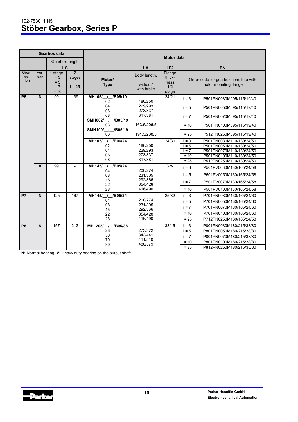|                      |              | Gearbox data                                         |                                      |                                     |                                        |                                 |          |                                                               |
|----------------------|--------------|------------------------------------------------------|--------------------------------------|-------------------------------------|----------------------------------------|---------------------------------|----------|---------------------------------------------------------------|
|                      |              | Gearbox length                                       |                                      |                                     |                                        | <b>Motor data</b>               |          |                                                               |
|                      |              | LG                                                   |                                      |                                     | <b>LM</b>                              | LF <sub>2</sub>                 |          | <b>BN</b>                                                     |
| Gear-<br>box<br>size | Ver-<br>sion | 1 stage<br>$i = 3$<br>$i = 5$<br>$i = 7$<br>$i = 10$ | $\overline{2}$<br>stages<br>$i = 25$ | Motor/<br><b>Type</b>               | Body length,<br>without/<br>with brake | Flange<br>thick-<br>ness<br>1/2 |          | Order code for gearbox complete with<br>motor mounting flange |
| <b>P5</b>            | N            | 99                                                   | 139                                  | /B05/19<br>$\mathcal{L}$            |                                        | stage<br>24/21                  |          |                                                               |
|                      |              |                                                      |                                      | MH105/<br>02                        | 186/250                                |                                 | $i = 3$  | P501PN0030M095/115/19/40                                      |
|                      |              |                                                      |                                      | 04<br>06                            | 229/293<br>273/337                     |                                 | $i = 5$  | P501PN0050M095/115/19/40                                      |
|                      |              |                                                      |                                      | 08<br>SMH082/ / /B05/19             | 317/381                                |                                 | $i = 7$  | P501PN0070M095/115/19/40                                      |
|                      |              |                                                      |                                      | 03                                  | 163.5/206.5                            |                                 | $i = 10$ | P501PN0100M095/115/19/40                                      |
|                      |              |                                                      |                                      | SMH100/ / /B05/19<br>06             | 191.5/238.5                            |                                 | $i = 25$ | P512PN0250M095/115/19/40                                      |
|                      |              |                                                      |                                      | MH105/<br>/B06/24<br>$\prime$       |                                        | 24/30                           | $i = 3$  | P501PN0030M110/130/24/50                                      |
|                      |              |                                                      |                                      | 02                                  | 186/250                                |                                 | $i = 5$  | P501PN0050M110/130/24/50                                      |
|                      |              |                                                      |                                      | 04                                  | 229/293                                |                                 | $i = 7$  | P501PN0070M110/130/24/50                                      |
|                      |              |                                                      |                                      | 06<br>08                            | 273/337<br>317/381                     |                                 | $i = 10$ | P501PN0100M110/130/24/50                                      |
|                      |              |                                                      |                                      |                                     |                                        |                                 | $i = 25$ | P512PN0250M110/130/24/50                                      |
|                      | $\mathbf v$  | 99                                                   |                                      | MH145/<br>/B05/24<br>04             | 200/274                                | $32/-$                          | $i = 3$  | P501PV0030M130/165/24/58                                      |
|                      |              |                                                      |                                      | 08                                  | 231/305                                |                                 | $i = 5$  | P501PV0050M130/165/24/58                                      |
|                      |              |                                                      |                                      | 15<br>22                            | 292/366<br>354/428                     |                                 | $i = 7$  | P501PV0070M130/165/24/58                                      |
|                      |              |                                                      |                                      | 28                                  | 416/490                                |                                 | $i = 10$ | P501PV0100M130/165/24/58                                      |
| <b>P7</b>            | N            | 125                                                  | 167                                  | MH145/<br>/B05/24<br>$\overline{1}$ |                                        | 25/32                           | $i = 3$  | P701PN0030M130/165/24/60                                      |
|                      |              |                                                      |                                      | 04                                  | 200/274                                |                                 | $i = 5$  | P701PN0050M130/165/24/60                                      |
|                      |              |                                                      |                                      | 08<br>15                            | 231/305<br>292/366                     |                                 | $i = 7$  | P701PN0070M130/165/24/60                                      |
|                      |              |                                                      |                                      | 22                                  | 354/428                                |                                 | $i = 10$ | P701PN0100M130/165/24/60                                      |
|                      |              |                                                      |                                      | 28                                  | 416/490                                |                                 | $i = 25$ | P712PN0250M130/165/24/58                                      |
| P <sub>8</sub>       | N            | 157                                                  | 212                                  | MH_205/<br>/B05/38                  |                                        | 33/45                           | $i = 3$  | P801PN0030M180/215/38/80                                      |
|                      |              |                                                      |                                      | 28                                  | 273/372                                |                                 | $i = 5$  | P801PN0050M180/215/38/80                                      |
|                      |              |                                                      |                                      | 50                                  | 342/441                                |                                 | $i = 7$  | P801PN0070M180/215/38/80                                      |
|                      |              | 70<br>90                                             |                                      |                                     | 411/510<br>480/579                     |                                 | $i = 10$ | P801PN0100M180/215/38/80                                      |
|                      |              |                                                      |                                      |                                     |                                        |                                 | $i = 25$ | P812PN0250M180/215/38/80                                      |

**N:** Normal bearing; **V:** Heavy duty bearing on the output shaft

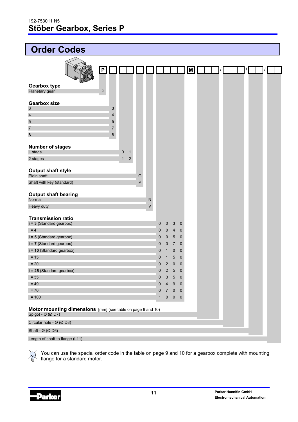## **Order Codes**

|                                                                                                 | P       |                                                                    |                               |        |           |                  |              |                |                  | M |  |  |  |  |
|-------------------------------------------------------------------------------------------------|---------|--------------------------------------------------------------------|-------------------------------|--------|-----------|------------------|--------------|----------------|------------------|---|--|--|--|--|
| <b>Gearbox type</b><br>Planetary gear                                                           | $\sf P$ |                                                                    |                               |        |           |                  |              |                |                  |   |  |  |  |  |
| <b>Gearbox size</b><br>$\sqrt{3}$<br>$\overline{\mathcal{A}}$<br>5<br>$\overline{7}$<br>$\bf 8$ |         | $\mathfrak{Z}$<br>$\overline{4}$<br>5<br>$\overline{7}$<br>$\bf 8$ |                               |        |           |                  |              |                |                  |   |  |  |  |  |
| <b>Number of stages</b><br>1 stage                                                              |         |                                                                    | 0<br>$\mathbf{1}$             |        |           |                  |              |                |                  |   |  |  |  |  |
| 2 stages                                                                                        |         |                                                                    | $\overline{2}$<br>$\mathbf 1$ |        |           |                  |              |                |                  |   |  |  |  |  |
| <b>Output shaft style</b><br>Plain shaft<br>Shaft with key (standard)                           |         |                                                                    |                               | G<br>P |           |                  |              |                |                  |   |  |  |  |  |
| <b>Output shaft bearing</b><br>Normal                                                           |         |                                                                    |                               |        | ${\sf N}$ |                  |              |                |                  |   |  |  |  |  |
| Heavy duty                                                                                      |         |                                                                    |                               |        | V         |                  |              |                |                  |   |  |  |  |  |
| <b>Transmission ratio</b><br>$i = 3$ (Standard gearbox)                                         |         |                                                                    |                               |        |           | $\mathbf 0$      | 0            | 3              | 0                |   |  |  |  |  |
| $i = 4$                                                                                         |         |                                                                    |                               |        |           | $\mathbf 0$      | $\mathbf 0$  | 4              | 0                |   |  |  |  |  |
| $i = 5$ (Standard gearbox)                                                                      |         |                                                                    |                               |        |           | $\boldsymbol{0}$ | 0            | 5              | $\mathbf 0$      |   |  |  |  |  |
| $i = 7$ (Standard gearbox)                                                                      |         |                                                                    |                               |        |           | 0                | 0            | $\overline{7}$ | $\mathbf 0$      |   |  |  |  |  |
| $i = 10$ (Standard gearbox)                                                                     |         |                                                                    |                               |        |           | 0                | $\mathbf{1}$ | $\mathbf 0$    | $\mathbf 0$      |   |  |  |  |  |
| $i = 15$                                                                                        |         |                                                                    |                               |        |           | $\mathbf 0$      | 1            | 5              | $\mathbf 0$      |   |  |  |  |  |
| $i = 20$                                                                                        |         |                                                                    |                               |        |           | 0                | 2            | $\mathbf 0$    | $\mathbf 0$      |   |  |  |  |  |
| $i = 25$ (Standard gearbox)                                                                     |         |                                                                    |                               |        |           | 0                | 2            | 5              | $\mathbf 0$      |   |  |  |  |  |
| $i = 35$<br>$i = 49$                                                                            |         |                                                                    |                               |        |           | 0<br>0           | 3<br>4       | 5<br>9         | $\mathbf 0$<br>0 |   |  |  |  |  |
| $i = 70$                                                                                        |         |                                                                    |                               |        |           | 0                | 7            | $\mathbf 0$    | 0                |   |  |  |  |  |
| $i = 100$                                                                                       |         |                                                                    |                               |        |           | $\mathbf{1}$     | $\mathbf 0$  | $\mathbf 0$    | $\mathbf 0$      |   |  |  |  |  |
|                                                                                                 |         |                                                                    |                               |        |           |                  |              |                |                  |   |  |  |  |  |
| Motor mounting dimensions [mm] (see table on page 9 and 10)<br>Spigot - Ø (Ø D7)                |         |                                                                    |                               |        |           |                  |              |                |                  |   |  |  |  |  |
| Circular hole - Ø (Ø D8)                                                                        |         |                                                                    |                               |        |           |                  |              |                |                  |   |  |  |  |  |
| Shaft - $\varnothing$ ( $\varnothing$ D6)                                                       |         |                                                                    |                               |        |           |                  |              |                |                  |   |  |  |  |  |
| Length of shaft to flange (L11)                                                                 |         |                                                                    |                               |        |           |                  |              |                |                  |   |  |  |  |  |

You can use the special order code in the table on page 9 and 10 for a gearbox complete with mounting flange for a standard motor.